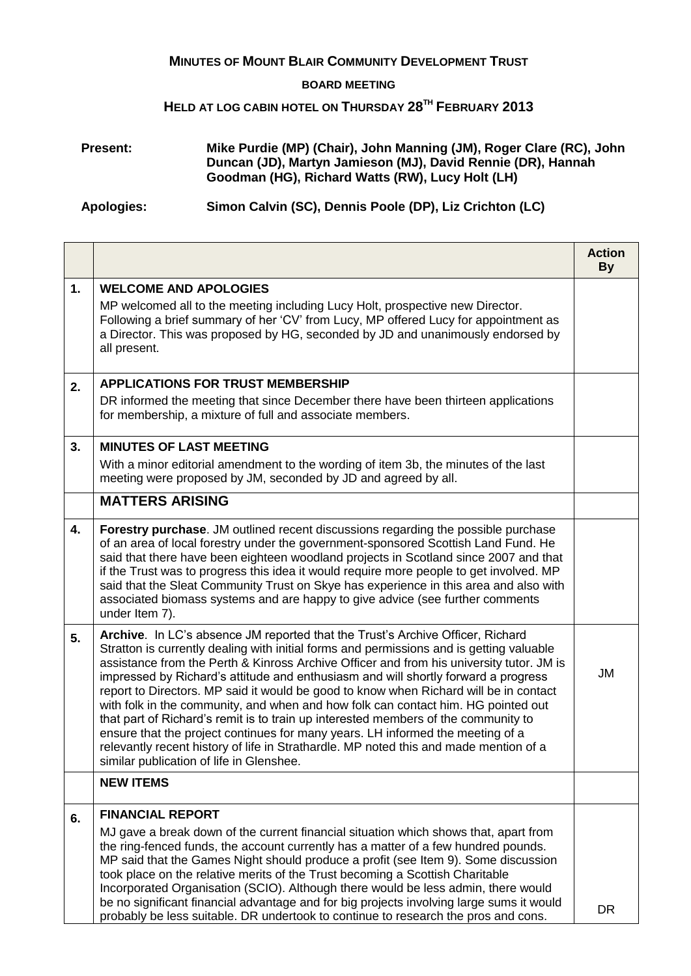## **MINUTES OF MOUNT BLAIR COMMUNITY DEVELOPMENT TRUST**

## **BOARD MEETING**

## **HELD AT LOG CABIN HOTEL ON THURSDAY 28TH FEBRUARY 2013**

## **Present: Mike Purdie (MP) (Chair), John Manning (JM), Roger Clare (RC), John Duncan (JD), Martyn Jamieson (MJ), David Rennie (DR), Hannah Goodman (HG), Richard Watts (RW), Lucy Holt (LH)**

**Apologies: Simon Calvin (SC), Dennis Poole (DP), Liz Crichton (LC)**

|    |                                                                                                                                                                                                                                                                                                                                                                                                                                                                                                                                                                                                                                                                                                                                                                                                                                                         | <b>Action</b><br><b>By</b> |
|----|---------------------------------------------------------------------------------------------------------------------------------------------------------------------------------------------------------------------------------------------------------------------------------------------------------------------------------------------------------------------------------------------------------------------------------------------------------------------------------------------------------------------------------------------------------------------------------------------------------------------------------------------------------------------------------------------------------------------------------------------------------------------------------------------------------------------------------------------------------|----------------------------|
| 1. | <b>WELCOME AND APOLOGIES</b><br>MP welcomed all to the meeting including Lucy Holt, prospective new Director.<br>Following a brief summary of her 'CV' from Lucy, MP offered Lucy for appointment as<br>a Director. This was proposed by HG, seconded by JD and unanimously endorsed by<br>all present.                                                                                                                                                                                                                                                                                                                                                                                                                                                                                                                                                 |                            |
| 2. | <b>APPLICATIONS FOR TRUST MEMBERSHIP</b><br>DR informed the meeting that since December there have been thirteen applications<br>for membership, a mixture of full and associate members.                                                                                                                                                                                                                                                                                                                                                                                                                                                                                                                                                                                                                                                               |                            |
| 3. | <b>MINUTES OF LAST MEETING</b><br>With a minor editorial amendment to the wording of item 3b, the minutes of the last<br>meeting were proposed by JM, seconded by JD and agreed by all.                                                                                                                                                                                                                                                                                                                                                                                                                                                                                                                                                                                                                                                                 |                            |
|    | <b>MATTERS ARISING</b>                                                                                                                                                                                                                                                                                                                                                                                                                                                                                                                                                                                                                                                                                                                                                                                                                                  |                            |
| 4. | Forestry purchase. JM outlined recent discussions regarding the possible purchase<br>of an area of local forestry under the government-sponsored Scottish Land Fund. He<br>said that there have been eighteen woodland projects in Scotland since 2007 and that<br>if the Trust was to progress this idea it would require more people to get involved. MP<br>said that the Sleat Community Trust on Skye has experience in this area and also with<br>associated biomass systems and are happy to give advice (see further comments<br>under Item 7).                                                                                                                                                                                                                                                                                                  |                            |
| 5. | Archive. In LC's absence JM reported that the Trust's Archive Officer, Richard<br>Stratton is currently dealing with initial forms and permissions and is getting valuable<br>assistance from the Perth & Kinross Archive Officer and from his university tutor. JM is<br>impressed by Richard's attitude and enthusiasm and will shortly forward a progress<br>report to Directors. MP said it would be good to know when Richard will be in contact<br>with folk in the community, and when and how folk can contact him. HG pointed out<br>that part of Richard's remit is to train up interested members of the community to<br>ensure that the project continues for many years. LH informed the meeting of a<br>relevantly recent history of life in Strathardle. MP noted this and made mention of a<br>similar publication of life in Glenshee. | JM                         |
|    | <b>NEW ITEMS</b>                                                                                                                                                                                                                                                                                                                                                                                                                                                                                                                                                                                                                                                                                                                                                                                                                                        |                            |
| 6. | <b>FINANCIAL REPORT</b><br>MJ gave a break down of the current financial situation which shows that, apart from<br>the ring-fenced funds, the account currently has a matter of a few hundred pounds.<br>MP said that the Games Night should produce a profit (see Item 9). Some discussion<br>took place on the relative merits of the Trust becoming a Scottish Charitable<br>Incorporated Organisation (SCIO). Although there would be less admin, there would<br>be no significant financial advantage and for big projects involving large sums it would<br>probably be less suitable. DR undertook to continue to research the pros and cons.                                                                                                                                                                                                     | <b>DR</b>                  |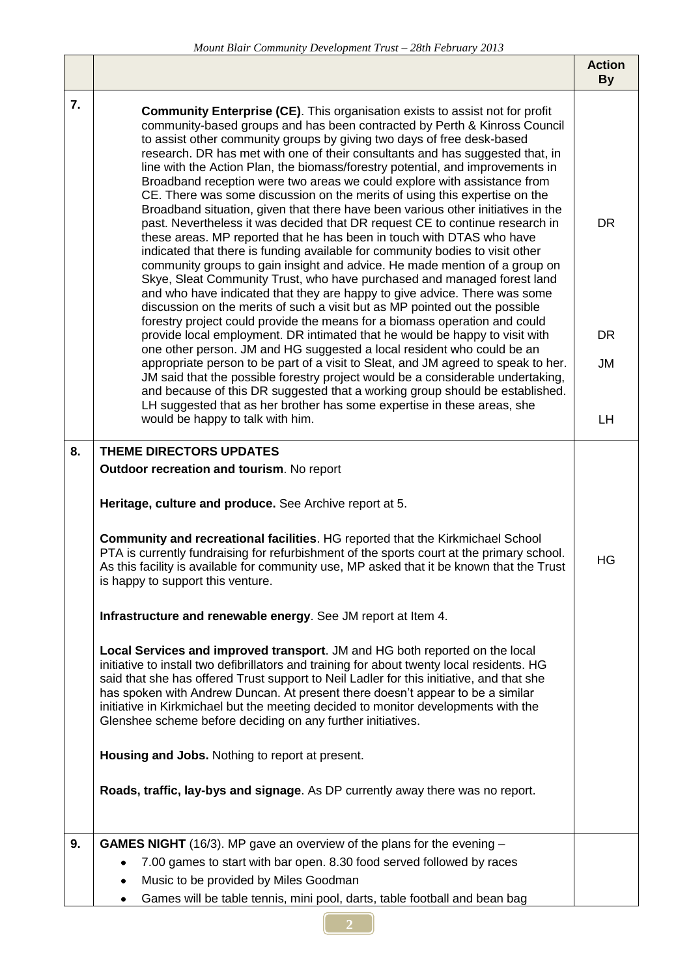|    |                                                                                                                                                                                                                                                                                                                                                                                                                                                                                                                                                                                                                                                                                                                                                                                                                                                                                                                                                                                                                                                                                                                                                                                                                                                                                                                                                                                                                                                                                                                                                                                                                                                                                                                                                                                                                                           | <b>Action</b><br><b>By</b>         |
|----|-------------------------------------------------------------------------------------------------------------------------------------------------------------------------------------------------------------------------------------------------------------------------------------------------------------------------------------------------------------------------------------------------------------------------------------------------------------------------------------------------------------------------------------------------------------------------------------------------------------------------------------------------------------------------------------------------------------------------------------------------------------------------------------------------------------------------------------------------------------------------------------------------------------------------------------------------------------------------------------------------------------------------------------------------------------------------------------------------------------------------------------------------------------------------------------------------------------------------------------------------------------------------------------------------------------------------------------------------------------------------------------------------------------------------------------------------------------------------------------------------------------------------------------------------------------------------------------------------------------------------------------------------------------------------------------------------------------------------------------------------------------------------------------------------------------------------------------------|------------------------------------|
| 7. | <b>Community Enterprise (CE)</b> . This organisation exists to assist not for profit<br>community-based groups and has been contracted by Perth & Kinross Council<br>to assist other community groups by giving two days of free desk-based<br>research. DR has met with one of their consultants and has suggested that, in<br>line with the Action Plan, the biomass/forestry potential, and improvements in<br>Broadband reception were two areas we could explore with assistance from<br>CE. There was some discussion on the merits of using this expertise on the<br>Broadband situation, given that there have been various other initiatives in the<br>past. Nevertheless it was decided that DR request CE to continue research in<br>these areas. MP reported that he has been in touch with DTAS who have<br>indicated that there is funding available for community bodies to visit other<br>community groups to gain insight and advice. He made mention of a group on<br>Skye, Sleat Community Trust, who have purchased and managed forest land<br>and who have indicated that they are happy to give advice. There was some<br>discussion on the merits of such a visit but as MP pointed out the possible<br>forestry project could provide the means for a biomass operation and could<br>provide local employment. DR intimated that he would be happy to visit with<br>one other person. JM and HG suggested a local resident who could be an<br>appropriate person to be part of a visit to Sleat, and JM agreed to speak to her.<br>JM said that the possible forestry project would be a considerable undertaking,<br>and because of this DR suggested that a working group should be established.<br>LH suggested that as her brother has some expertise in these areas, she<br>would be happy to talk with him. | <b>DR</b><br><b>DR</b><br>JM<br>LH |
|    |                                                                                                                                                                                                                                                                                                                                                                                                                                                                                                                                                                                                                                                                                                                                                                                                                                                                                                                                                                                                                                                                                                                                                                                                                                                                                                                                                                                                                                                                                                                                                                                                                                                                                                                                                                                                                                           |                                    |
| 8. | THEME DIRECTORS UPDATES<br>Outdoor recreation and tourism. No report                                                                                                                                                                                                                                                                                                                                                                                                                                                                                                                                                                                                                                                                                                                                                                                                                                                                                                                                                                                                                                                                                                                                                                                                                                                                                                                                                                                                                                                                                                                                                                                                                                                                                                                                                                      |                                    |
|    | Heritage, culture and produce. See Archive report at 5.                                                                                                                                                                                                                                                                                                                                                                                                                                                                                                                                                                                                                                                                                                                                                                                                                                                                                                                                                                                                                                                                                                                                                                                                                                                                                                                                                                                                                                                                                                                                                                                                                                                                                                                                                                                   |                                    |
|    | Community and recreational facilities. HG reported that the Kirkmichael School<br>PTA is currently fundraising for refurbishment of the sports court at the primary school.<br>As this facility is available for community use, MP asked that it be known that the Trust<br>is happy to support this venture.                                                                                                                                                                                                                                                                                                                                                                                                                                                                                                                                                                                                                                                                                                                                                                                                                                                                                                                                                                                                                                                                                                                                                                                                                                                                                                                                                                                                                                                                                                                             | HG                                 |
|    | Infrastructure and renewable energy. See JM report at Item 4.                                                                                                                                                                                                                                                                                                                                                                                                                                                                                                                                                                                                                                                                                                                                                                                                                                                                                                                                                                                                                                                                                                                                                                                                                                                                                                                                                                                                                                                                                                                                                                                                                                                                                                                                                                             |                                    |
|    | Local Services and improved transport. JM and HG both reported on the local<br>initiative to install two defibrillators and training for about twenty local residents. HG<br>said that she has offered Trust support to Neil Ladler for this initiative, and that she<br>has spoken with Andrew Duncan. At present there doesn't appear to be a similar<br>initiative in Kirkmichael but the meeting decided to monitor developments with the<br>Glenshee scheme before deciding on any further initiatives.                                                                                                                                                                                                                                                                                                                                                                                                                                                                                                                                                                                                                                                                                                                                                                                                                                                                                                                                                                                                                                                                                                                                                                                                                                                                                                                              |                                    |
|    | Housing and Jobs. Nothing to report at present.                                                                                                                                                                                                                                                                                                                                                                                                                                                                                                                                                                                                                                                                                                                                                                                                                                                                                                                                                                                                                                                                                                                                                                                                                                                                                                                                                                                                                                                                                                                                                                                                                                                                                                                                                                                           |                                    |
|    | Roads, traffic, lay-bys and signage. As DP currently away there was no report.                                                                                                                                                                                                                                                                                                                                                                                                                                                                                                                                                                                                                                                                                                                                                                                                                                                                                                                                                                                                                                                                                                                                                                                                                                                                                                                                                                                                                                                                                                                                                                                                                                                                                                                                                            |                                    |
| 9. | <b>GAMES NIGHT</b> (16/3). MP gave an overview of the plans for the evening -<br>7.00 games to start with bar open. 8.30 food served followed by races                                                                                                                                                                                                                                                                                                                                                                                                                                                                                                                                                                                                                                                                                                                                                                                                                                                                                                                                                                                                                                                                                                                                                                                                                                                                                                                                                                                                                                                                                                                                                                                                                                                                                    |                                    |
|    | Music to be provided by Miles Goodman                                                                                                                                                                                                                                                                                                                                                                                                                                                                                                                                                                                                                                                                                                                                                                                                                                                                                                                                                                                                                                                                                                                                                                                                                                                                                                                                                                                                                                                                                                                                                                                                                                                                                                                                                                                                     |                                    |
|    | Games will be table tennis, mini pool, darts, table football and bean bag                                                                                                                                                                                                                                                                                                                                                                                                                                                                                                                                                                                                                                                                                                                                                                                                                                                                                                                                                                                                                                                                                                                                                                                                                                                                                                                                                                                                                                                                                                                                                                                                                                                                                                                                                                 |                                    |